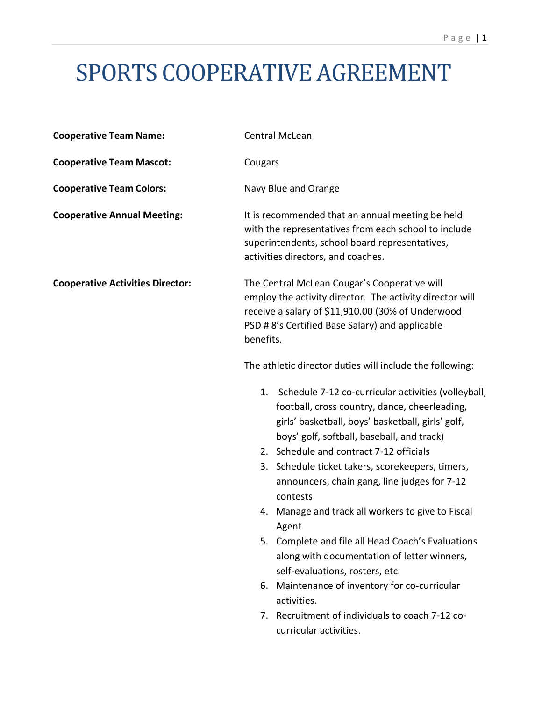# SPORTS COOPERATIVE AGREEMENT

| <b>Cooperative Team Name:</b>           | Central McLean                                                                                                                                                                                                                |
|-----------------------------------------|-------------------------------------------------------------------------------------------------------------------------------------------------------------------------------------------------------------------------------|
| <b>Cooperative Team Mascot:</b>         | Cougars                                                                                                                                                                                                                       |
| <b>Cooperative Team Colors:</b>         | Navy Blue and Orange                                                                                                                                                                                                          |
| <b>Cooperative Annual Meeting:</b>      | It is recommended that an annual meeting be held<br>with the representatives from each school to include<br>superintendents, school board representatives,<br>activities directors, and coaches.                              |
| <b>Cooperative Activities Director:</b> | The Central McLean Cougar's Cooperative will<br>employ the activity director. The activity director will<br>receive a salary of \$11,910.00 (30% of Underwood<br>PSD # 8's Certified Base Salary) and applicable<br>benefits. |
|                                         | The athletic director duties will include the following:                                                                                                                                                                      |
|                                         | Schedule 7-12 co-curricular activities (volleyball,<br>1.<br>football, cross country, dance, cheerleading,<br>girls' basketball, boys' basketball, girls' golf,<br>boys' golf, softball, baseball, and track)                 |
|                                         | 2. Schedule and contract 7-12 officials<br>3. Schedule ticket takers, scorekeepers, timers,<br>announcers, chain gang, line judges for 7-12<br>contests                                                                       |
|                                         | 4. Manage and track all workers to give to Fiscal<br>Agent                                                                                                                                                                    |
|                                         | 5. Complete and file all Head Coach's Evaluations<br>along with documentation of letter winners,<br>self-evaluations, rosters, etc.                                                                                           |
|                                         | 6. Maintenance of inventory for co-curricular<br>activities.                                                                                                                                                                  |
|                                         | 7. Recruitment of individuals to coach 7-12 co-<br>curricular activities.                                                                                                                                                     |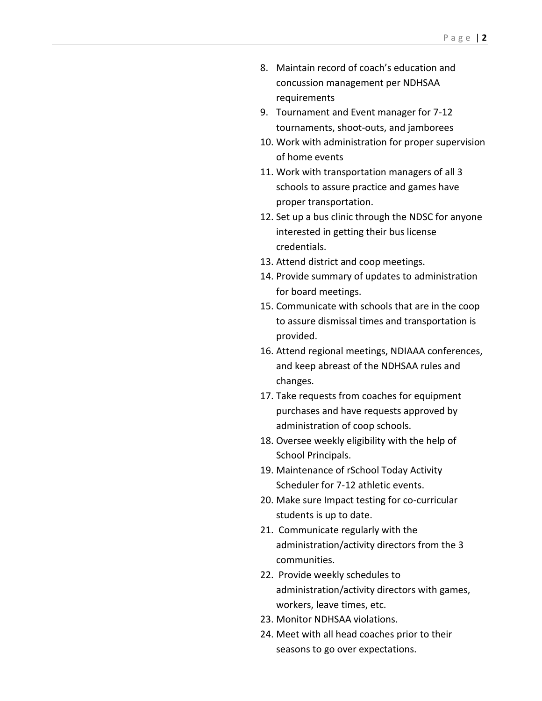- 8. Maintain record of coach's education and concussion management per NDHSAA requirements
- 9. Tournament and Event manager for 7-12 tournaments, shoot-outs, and jamborees
- 10. Work with administration for proper supervision of home events
- 11. Work with transportation managers of all 3 schools to assure practice and games have proper transportation.
- 12. Set up a bus clinic through the NDSC for anyone interested in getting their bus license credentials.
- 13. Attend district and coop meetings.
- 14. Provide summary of updates to administration for board meetings.
- 15. Communicate with schools that are in the coop to assure dismissal times and transportation is provided.
- 16. Attend regional meetings, NDIAAA conferences, and keep abreast of the NDHSAA rules and changes.
- 17. Take requests from coaches for equipment purchases and have requests approved by administration of coop schools.
- 18. Oversee weekly eligibility with the help of School Principals.
- 19. Maintenance of rSchool Today Activity Scheduler for 7-12 athletic events.
- 20. Make sure Impact testing for co-curricular students is up to date.
- 21. Communicate regularly with the administration/activity directors from the 3 communities.
- 22. Provide weekly schedules to administration/activity directors with games, workers, leave times, etc.
- 23. Monitor NDHSAA violations.
- 24. Meet with all head coaches prior to their seasons to go over expectations.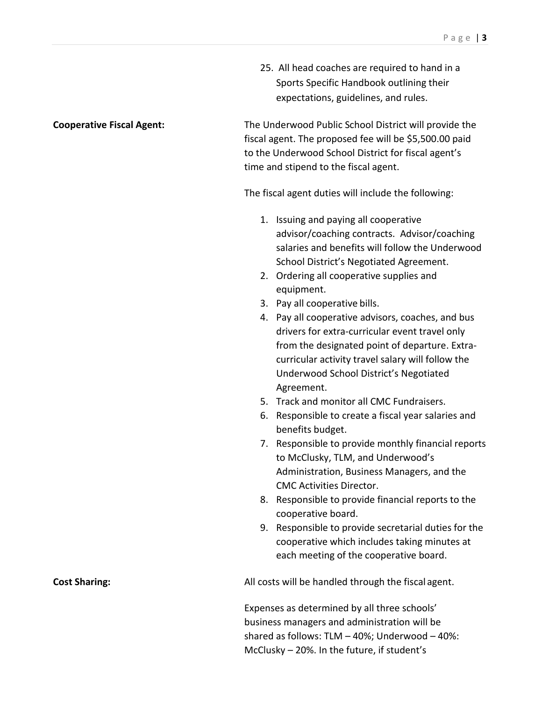25. All head coaches are required to hand in a Sports Specific Handbook outlining their expectations, guidelines, and rules.

**Cooperative Fiscal Agent:** The Underwood Public School District will provide the fiscal agent. The proposed fee will be \$5,500.00 paid to the Underwood School District for fiscal agent's time and stipend to the fiscal agent.

The fiscal agent duties will include the following:

- 1. Issuing and paying all cooperative advisor/coaching contracts. Advisor/coaching salaries and benefits will follow the Underwood School District's Negotiated Agreement.
- 2. Ordering all cooperative supplies and equipment.
- 3. Pay all cooperative bills.
- 4. Pay all cooperative advisors, coaches, and bus drivers for extra-curricular event travel only from the designated point of departure. Extracurricular activity travel salary will follow the Underwood School District's Negotiated Agreement.
- 5. Track and monitor all CMC Fundraisers.
- 6. Responsible to create a fiscal year salaries and benefits budget.
- 7. Responsible to provide monthly financial reports to McClusky, TLM, and Underwood's Administration, Business Managers, and the CMC Activities Director.
- 8. Responsible to provide financial reports to the cooperative board.
- 9. Responsible to provide secretarial duties for the cooperative which includes taking minutes at each meeting of the cooperative board.

**Cost Sharing: Cost Sharing: All costs will be handled through the fiscal agent.** 

Expenses as determined by all three schools' business managers and administration will be shared as follows: TLM – 40%; Underwood – 40%: McClusky – 20%. In the future, if student's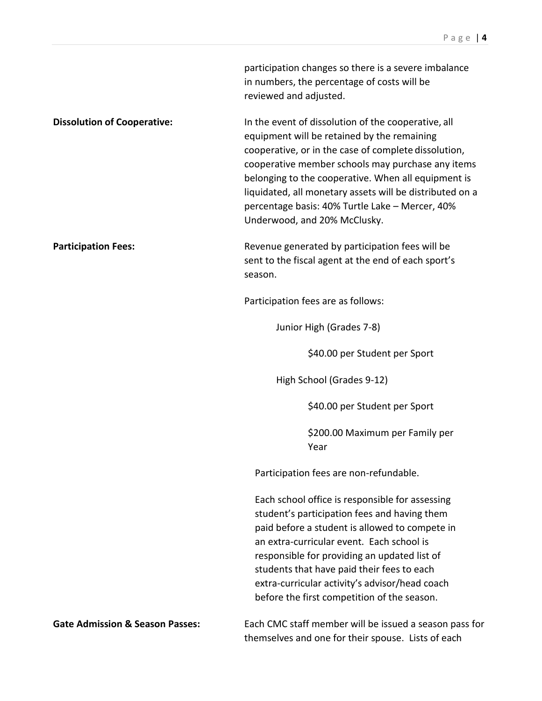|                                            | participation changes so there is a severe imbalance<br>in numbers, the percentage of costs will be<br>reviewed and adjusted.                                                                                                                                                                                                                                                                                         |
|--------------------------------------------|-----------------------------------------------------------------------------------------------------------------------------------------------------------------------------------------------------------------------------------------------------------------------------------------------------------------------------------------------------------------------------------------------------------------------|
| <b>Dissolution of Cooperative:</b>         | In the event of dissolution of the cooperative, all<br>equipment will be retained by the remaining<br>cooperative, or in the case of complete dissolution,<br>cooperative member schools may purchase any items<br>belonging to the cooperative. When all equipment is<br>liquidated, all monetary assets will be distributed on a<br>percentage basis: 40% Turtle Lake - Mercer, 40%<br>Underwood, and 20% McClusky. |
| <b>Participation Fees:</b>                 | Revenue generated by participation fees will be<br>sent to the fiscal agent at the end of each sport's<br>season.                                                                                                                                                                                                                                                                                                     |
|                                            | Participation fees are as follows:                                                                                                                                                                                                                                                                                                                                                                                    |
|                                            | Junior High (Grades 7-8)                                                                                                                                                                                                                                                                                                                                                                                              |
|                                            | \$40.00 per Student per Sport                                                                                                                                                                                                                                                                                                                                                                                         |
|                                            | High School (Grades 9-12)                                                                                                                                                                                                                                                                                                                                                                                             |
|                                            | \$40.00 per Student per Sport                                                                                                                                                                                                                                                                                                                                                                                         |
|                                            | \$200.00 Maximum per Family per<br>Year                                                                                                                                                                                                                                                                                                                                                                               |
|                                            | Participation fees are non-refundable.                                                                                                                                                                                                                                                                                                                                                                                |
|                                            | Each school office is responsible for assessing<br>student's participation fees and having them<br>paid before a student is allowed to compete in<br>an extra-curricular event. Each school is<br>responsible for providing an updated list of<br>students that have paid their fees to each<br>extra-curricular activity's advisor/head coach<br>before the first competition of the season.                         |
| <b>Gate Admission &amp; Season Passes:</b> | Each CMC staff member will be issued a season pass for<br>themselves and one for their spouse. Lists of each                                                                                                                                                                                                                                                                                                          |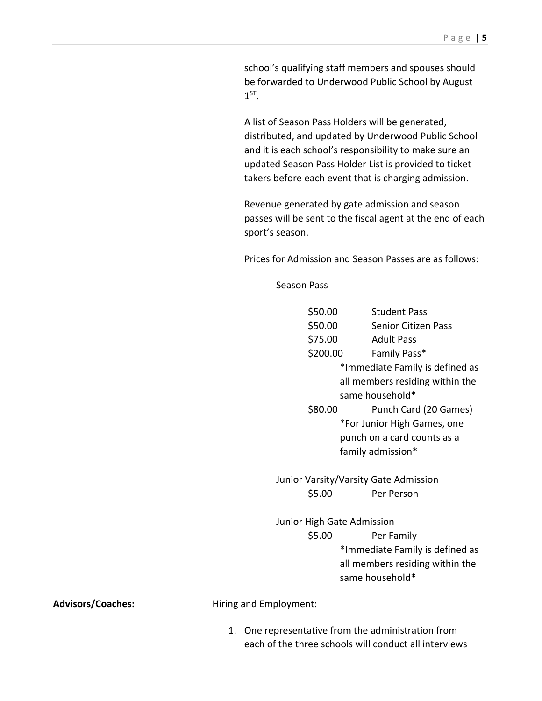school's qualifying staff members and spouses should be forwarded to Underwood Public School by August  $1^{ST}$ .

A list of Season Pass Holders will be generated, distributed, and updated by Underwood Public School and it is each school's responsibility to make sure an updated Season Pass Holder List is provided to ticket takers before each event that is charging admission.

Revenue generated by gate admission and season passes will be sent to the fiscal agent at the end of each sport's season.

Prices for Admission and Season Passes are as follows:

Season Pass

| \$50.00                    | <b>Student Pass</b>                   |
|----------------------------|---------------------------------------|
| \$50.00                    | <b>Senior Citizen Pass</b>            |
| \$75.00                    | <b>Adult Pass</b>                     |
| \$200.00                   | Family Pass*                          |
|                            | *Immediate Family is defined as       |
|                            | all members residing within the       |
|                            | same household*                       |
| \$80.00                    | Punch Card (20 Games)                 |
|                            | *For Junior High Games, one           |
|                            | punch on a card counts as a           |
|                            | family admission*                     |
|                            |                                       |
|                            | Junior Varsity/Varsity Gate Admission |
| \$5.00                     | Per Person                            |
|                            |                                       |
| Junior High Gate Admission |                                       |
| \$5.00                     | Per Family                            |
|                            | *Immediate Family is defined as       |
|                            |                                       |
|                            | all members residing within the       |
|                            | same household*                       |
|                            |                                       |

Advisors/Coaches: **Advisors/Coaches:** Hiring and Employment:

1. One representative from the administration from each of the three schools will conduct all interviews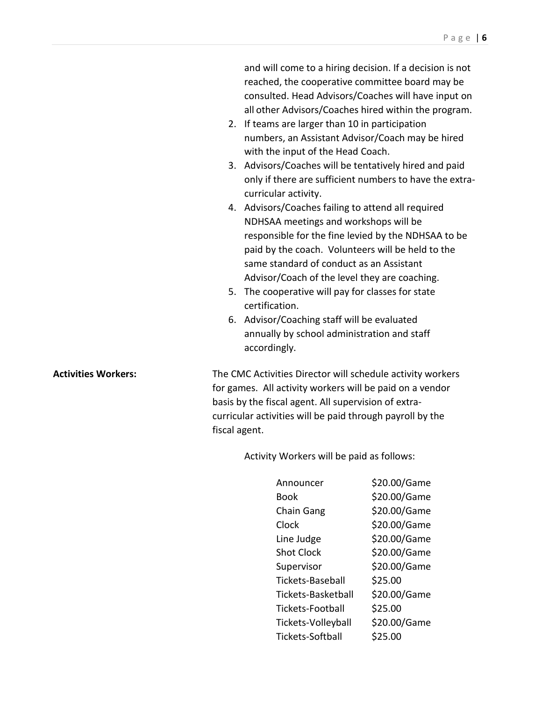|                            | and will come to a hiring decision. If a decision is not<br>reached, the cooperative committee board may be<br>consulted. Head Advisors/Coaches will have input on<br>all other Advisors/Coaches hired within the program.<br>2. If teams are larger than 10 in participation<br>numbers, an Assistant Advisor/Coach may be hired<br>with the input of the Head Coach.<br>3. Advisors/Coaches will be tentatively hired and paid<br>only if there are sufficient numbers to have the extra-<br>curricular activity.<br>4. Advisors/Coaches failing to attend all required<br>NDHSAA meetings and workshops will be<br>responsible for the fine levied by the NDHSAA to be<br>paid by the coach. Volunteers will be held to the<br>same standard of conduct as an Assistant<br>Advisor/Coach of the level they are coaching.<br>5. The cooperative will pay for classes for state<br>certification.<br>6. Advisor/Coaching staff will be evaluated<br>annually by school administration and staff |
|----------------------------|--------------------------------------------------------------------------------------------------------------------------------------------------------------------------------------------------------------------------------------------------------------------------------------------------------------------------------------------------------------------------------------------------------------------------------------------------------------------------------------------------------------------------------------------------------------------------------------------------------------------------------------------------------------------------------------------------------------------------------------------------------------------------------------------------------------------------------------------------------------------------------------------------------------------------------------------------------------------------------------------------|
| <b>Activities Workers:</b> | accordingly.<br>The CMC Activities Director will schedule activity workers<br>for games. All activity workers will be paid on a vendor<br>basis by the fiscal agent. All supervision of extra-<br>curricular activities will be paid through payroll by the<br>fiscal agent.                                                                                                                                                                                                                                                                                                                                                                                                                                                                                                                                                                                                                                                                                                                     |

Activity Workers will be paid as follows:

| Announcer          | \$20.00/Game |
|--------------------|--------------|
| Book               | \$20.00/Game |
| <b>Chain Gang</b>  | \$20.00/Game |
| Clock              | \$20.00/Game |
| Line Judge         | \$20.00/Game |
| <b>Shot Clock</b>  | \$20.00/Game |
| Supervisor         | \$20.00/Game |
| Tickets-Baseball   | \$25.00      |
| Tickets-Basketball | \$20.00/Game |
| Tickets-Football   | \$25.00      |
| Tickets-Volleyball | \$20.00/Game |
| Tickets-Softball   | \$25.00      |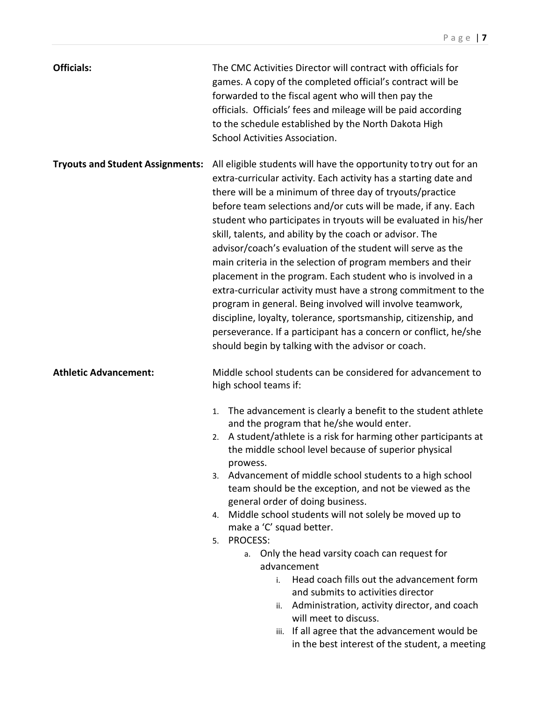| <b>Officials:</b>                       | The CMC Activities Director will contract with officials for<br>games. A copy of the completed official's contract will be<br>forwarded to the fiscal agent who will then pay the<br>officials. Officials' fees and mileage will be paid according<br>to the schedule established by the North Dakota High<br>School Activities Association.                                                                                                                                                                                                                                                                                                                                                                                                                                                                                                                                                                                |
|-----------------------------------------|-----------------------------------------------------------------------------------------------------------------------------------------------------------------------------------------------------------------------------------------------------------------------------------------------------------------------------------------------------------------------------------------------------------------------------------------------------------------------------------------------------------------------------------------------------------------------------------------------------------------------------------------------------------------------------------------------------------------------------------------------------------------------------------------------------------------------------------------------------------------------------------------------------------------------------|
| <b>Tryouts and Student Assignments:</b> | All eligible students will have the opportunity to try out for an<br>extra-curricular activity. Each activity has a starting date and<br>there will be a minimum of three day of tryouts/practice<br>before team selections and/or cuts will be made, if any. Each<br>student who participates in tryouts will be evaluated in his/her<br>skill, talents, and ability by the coach or advisor. The<br>advisor/coach's evaluation of the student will serve as the<br>main criteria in the selection of program members and their<br>placement in the program. Each student who is involved in a<br>extra-curricular activity must have a strong commitment to the<br>program in general. Being involved will involve teamwork,<br>discipline, loyalty, tolerance, sportsmanship, citizenship, and<br>perseverance. If a participant has a concern or conflict, he/she<br>should begin by talking with the advisor or coach. |
| <b>Athletic Advancement:</b>            | Middle school students can be considered for advancement to                                                                                                                                                                                                                                                                                                                                                                                                                                                                                                                                                                                                                                                                                                                                                                                                                                                                 |
|                                         | high school teams if:<br>The advancement is clearly a benefit to the student athlete<br>1.<br>and the program that he/she would enter.<br>A student/athlete is a risk for harming other participants at<br>2.<br>the middle school level because of superior physical<br>prowess.<br>3. Advancement of middle school students to a high school<br>team should be the exception, and not be viewed as the<br>general order of doing business.<br>Middle school students will not solely be moved up to<br>4.<br>make a 'C' squad better.<br><b>PROCESS:</b><br>5.<br>Only the head varsity coach can request for<br>a.<br>advancement<br>Head coach fills out the advancement form<br>i.<br>and submits to activities director<br>Administration, activity director, and coach<br>ii.<br>will meet to discuss.<br>iii. If all agree that the advancement would be<br>in the best interest of the student, a meeting          |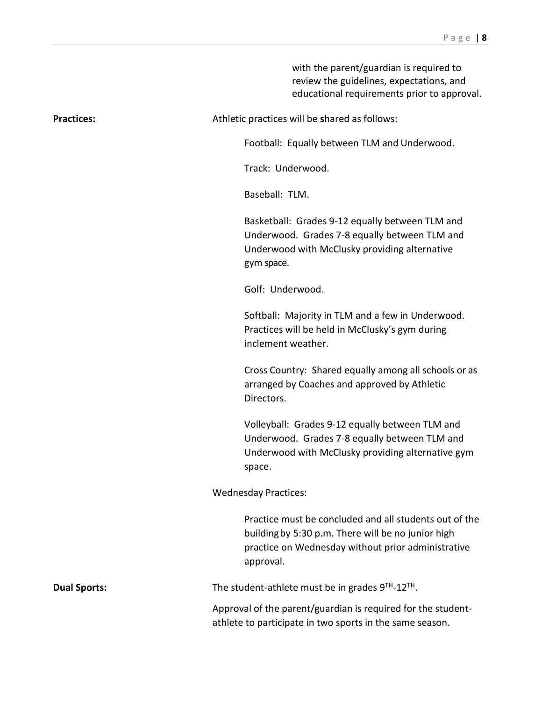|                     | with the parent/guardian is required to<br>review the guidelines, expectations, and<br>educational requirements prior to approval.                                              |
|---------------------|---------------------------------------------------------------------------------------------------------------------------------------------------------------------------------|
| <b>Practices:</b>   | Athletic practices will be shared as follows:                                                                                                                                   |
|                     | Football: Equally between TLM and Underwood.                                                                                                                                    |
|                     | Track: Underwood.                                                                                                                                                               |
|                     | Baseball: TLM.                                                                                                                                                                  |
|                     | Basketball: Grades 9-12 equally between TLM and<br>Underwood. Grades 7-8 equally between TLM and<br>Underwood with McClusky providing alternative<br>gym space.                 |
|                     | Golf: Underwood.                                                                                                                                                                |
|                     | Softball: Majority in TLM and a few in Underwood.<br>Practices will be held in McClusky's gym during<br>inclement weather.                                                      |
|                     | Cross Country: Shared equally among all schools or as<br>arranged by Coaches and approved by Athletic<br>Directors.                                                             |
|                     | Volleyball: Grades 9-12 equally between TLM and<br>Underwood. Grades 7-8 equally between TLM and<br>Underwood with McClusky providing alternative gym<br>space.                 |
|                     | <b>Wednesday Practices:</b>                                                                                                                                                     |
|                     | Practice must be concluded and all students out of the<br>building by 5:30 p.m. There will be no junior high<br>practice on Wednesday without prior administrative<br>approval. |
| <b>Dual Sports:</b> | The student-athlete must be in grades 9TH-12TH.                                                                                                                                 |
|                     | Approval of the parent/guardian is required for the student-<br>athlete to participate in two sports in the same season.                                                        |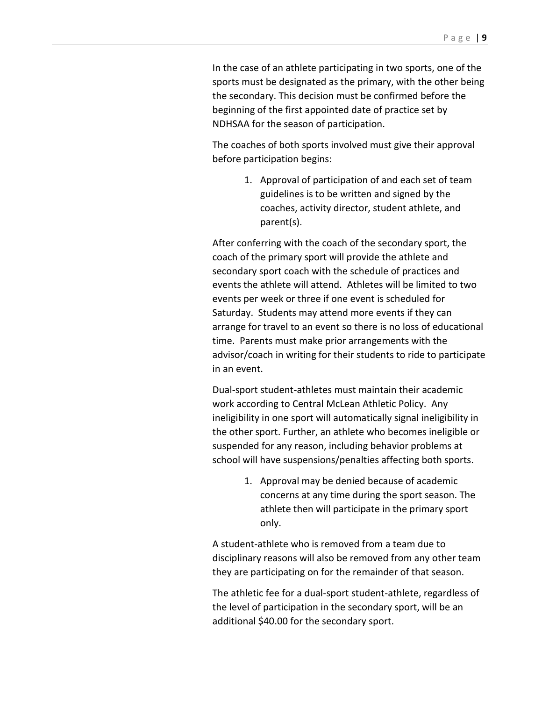In the case of an athlete participating in two sports, one of the sports must be designated as the primary, with the other being the secondary. This decision must be confirmed before the beginning of the first appointed date of practice set by NDHSAA for the season of participation.

The coaches of both sports involved must give their approval before participation begins:

> 1. Approval of participation of and each set of team guidelines is to be written and signed by the coaches, activity director, student athlete, and parent(s).

After conferring with the coach of the secondary sport, the coach of the primary sport will provide the athlete and secondary sport coach with the schedule of practices and events the athlete will attend. Athletes will be limited to two events per week or three if one event is scheduled for Saturday. Students may attend more events if they can arrange for travel to an event so there is no loss of educational time. Parents must make prior arrangements with the advisor/coach in writing for their students to ride to participate in an event.

Dual-sport student-athletes must maintain their academic work according to Central McLean Athletic Policy. Any ineligibility in one sport will automatically signal ineligibility in the other sport. Further, an athlete who becomes ineligible or suspended for any reason, including behavior problems at school will have suspensions/penalties affecting both sports.

> 1. Approval may be denied because of academic concerns at any time during the sport season. The athlete then will participate in the primary sport only.

A student-athlete who is removed from a team due to disciplinary reasons will also be removed from any other team they are participating on for the remainder of that season.

The athletic fee for a dual-sport student-athlete, regardless of the level of participation in the secondary sport, will be an additional \$40.00 for the secondary sport.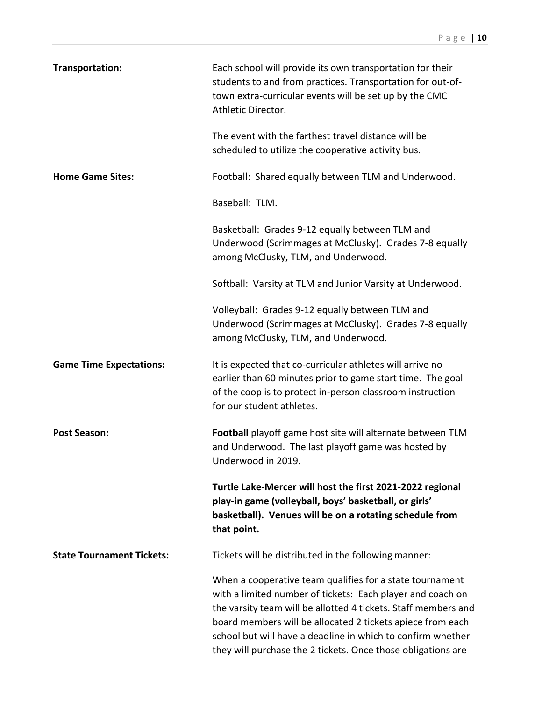| Transportation:                  | Each school will provide its own transportation for their<br>students to and from practices. Transportation for out-of-<br>town extra-curricular events will be set up by the CMC<br>Athletic Director.                                                                                                                                                                               |
|----------------------------------|---------------------------------------------------------------------------------------------------------------------------------------------------------------------------------------------------------------------------------------------------------------------------------------------------------------------------------------------------------------------------------------|
|                                  | The event with the farthest travel distance will be<br>scheduled to utilize the cooperative activity bus.                                                                                                                                                                                                                                                                             |
| <b>Home Game Sites:</b>          | Football: Shared equally between TLM and Underwood.                                                                                                                                                                                                                                                                                                                                   |
|                                  | Baseball: TLM.                                                                                                                                                                                                                                                                                                                                                                        |
|                                  | Basketball: Grades 9-12 equally between TLM and<br>Underwood (Scrimmages at McClusky). Grades 7-8 equally<br>among McClusky, TLM, and Underwood.                                                                                                                                                                                                                                      |
|                                  | Softball: Varsity at TLM and Junior Varsity at Underwood.                                                                                                                                                                                                                                                                                                                             |
|                                  | Volleyball: Grades 9-12 equally between TLM and<br>Underwood (Scrimmages at McClusky). Grades 7-8 equally<br>among McClusky, TLM, and Underwood.                                                                                                                                                                                                                                      |
| <b>Game Time Expectations:</b>   | It is expected that co-curricular athletes will arrive no<br>earlier than 60 minutes prior to game start time. The goal<br>of the coop is to protect in-person classroom instruction<br>for our student athletes.                                                                                                                                                                     |
| <b>Post Season:</b>              | Football playoff game host site will alternate between TLM<br>and Underwood. The last playoff game was hosted by<br>Underwood in 2019.                                                                                                                                                                                                                                                |
|                                  | Turtle Lake-Mercer will host the first 2021-2022 regional<br>play-in game (volleyball, boys' basketball, or girls'<br>basketball). Venues will be on a rotating schedule from<br>that point.                                                                                                                                                                                          |
| <b>State Tournament Tickets:</b> | Tickets will be distributed in the following manner:                                                                                                                                                                                                                                                                                                                                  |
|                                  | When a cooperative team qualifies for a state tournament<br>with a limited number of tickets: Each player and coach on<br>the varsity team will be allotted 4 tickets. Staff members and<br>board members will be allocated 2 tickets apiece from each<br>school but will have a deadline in which to confirm whether<br>they will purchase the 2 tickets. Once those obligations are |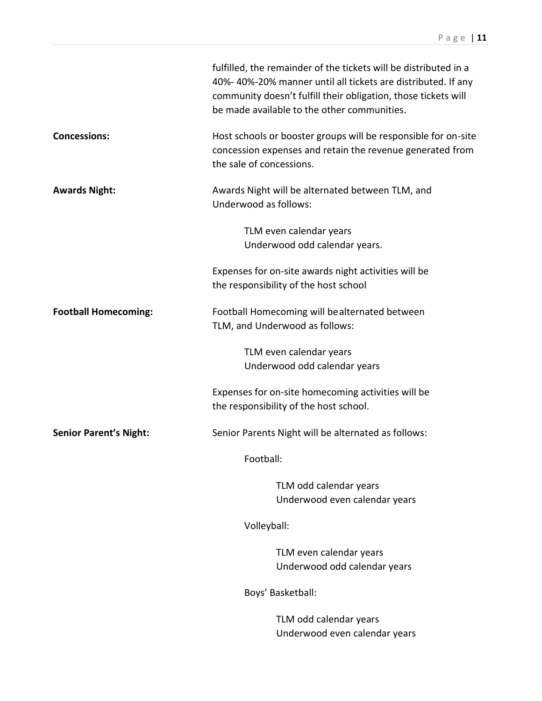|                               | fulfilled, the remainder of the tickets will be distributed in a<br>40%-40%-20% manner until all tickets are distributed. If any<br>community doesn't fulfill their obligation, those tickets will<br>be made available to the other communities. |
|-------------------------------|---------------------------------------------------------------------------------------------------------------------------------------------------------------------------------------------------------------------------------------------------|
| <b>Concessions:</b>           | Host schools or booster groups will be responsible for on-site<br>concession expenses and retain the revenue generated from<br>the sale of concessions.                                                                                           |
| <b>Awards Night:</b>          | Awards Night will be alternated between TLM, and<br>Underwood as follows:                                                                                                                                                                         |
|                               | TLM even calendar years<br>Underwood odd calendar years.                                                                                                                                                                                          |
|                               | Expenses for on-site awards night activities will be<br>the responsibility of the host school                                                                                                                                                     |
| <b>Football Homecoming:</b>   | Football Homecoming will be alternated between<br>TLM, and Underwood as follows:                                                                                                                                                                  |
|                               | TLM even calendar years<br>Underwood odd calendar years                                                                                                                                                                                           |
|                               | Expenses for on-site homecoming activities will be<br>the responsibility of the host school.                                                                                                                                                      |
| <b>Senior Parent's Night:</b> | Senior Parents Night will be alternated as follows:                                                                                                                                                                                               |
|                               | Football:                                                                                                                                                                                                                                         |
|                               | TLM odd calendar years<br>Underwood even calendar years                                                                                                                                                                                           |
|                               | Volleyball:                                                                                                                                                                                                                                       |
|                               | TLM even calendar years<br>Underwood odd calendar years                                                                                                                                                                                           |
|                               | Boys' Basketball:                                                                                                                                                                                                                                 |
|                               | TLM odd calendar years<br>Underwood even calendar years                                                                                                                                                                                           |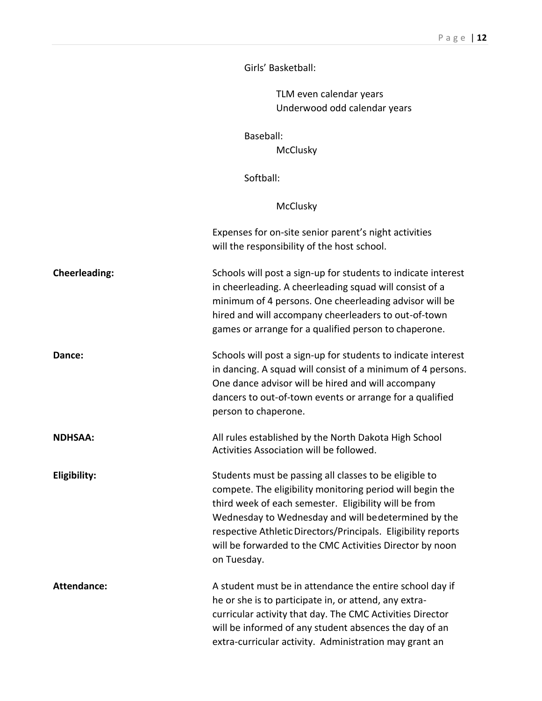Girls' Basketball:

TLM even calendar years Underwood odd calendar years

Baseball:

**McClusky** 

Softball:

McClusky

|                      | Expenses for on-site senior parent's night activities<br>will the responsibility of the host school.                                                                                                                                                                                                                                                                            |
|----------------------|---------------------------------------------------------------------------------------------------------------------------------------------------------------------------------------------------------------------------------------------------------------------------------------------------------------------------------------------------------------------------------|
| <b>Cheerleading:</b> | Schools will post a sign-up for students to indicate interest<br>in cheerleading. A cheerleading squad will consist of a<br>minimum of 4 persons. One cheerleading advisor will be<br>hired and will accompany cheerleaders to out-of-town<br>games or arrange for a qualified person to chaperone.                                                                             |
| Dance:               | Schools will post a sign-up for students to indicate interest<br>in dancing. A squad will consist of a minimum of 4 persons.<br>One dance advisor will be hired and will accompany<br>dancers to out-of-town events or arrange for a qualified<br>person to chaperone.                                                                                                          |
| <b>NDHSAA:</b>       | All rules established by the North Dakota High School<br>Activities Association will be followed.                                                                                                                                                                                                                                                                               |
| Eligibility:         | Students must be passing all classes to be eligible to<br>compete. The eligibility monitoring period will begin the<br>third week of each semester. Eligibility will be from<br>Wednesday to Wednesday and will bedetermined by the<br>respective Athletic Directors/Principals. Eligibility reports<br>will be forwarded to the CMC Activities Director by noon<br>on Tuesday. |
| <b>Attendance:</b>   | A student must be in attendance the entire school day if<br>he or she is to participate in, or attend, any extra-<br>curricular activity that day. The CMC Activities Director<br>will be informed of any student absences the day of an<br>extra-curricular activity. Administration may grant an                                                                              |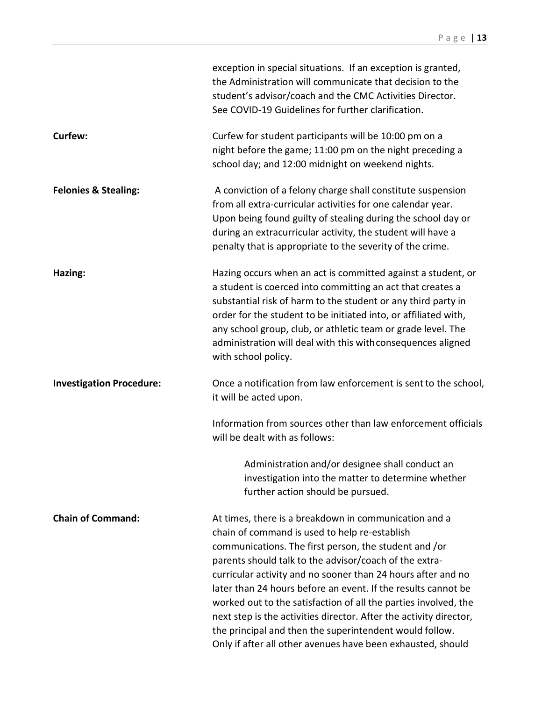|                                 | exception in special situations. If an exception is granted,<br>the Administration will communicate that decision to the<br>student's advisor/coach and the CMC Activities Director.<br>See COVID-19 Guidelines for further clarification.                                                                                                                                                                                                                                                                                                                                                                                    |
|---------------------------------|-------------------------------------------------------------------------------------------------------------------------------------------------------------------------------------------------------------------------------------------------------------------------------------------------------------------------------------------------------------------------------------------------------------------------------------------------------------------------------------------------------------------------------------------------------------------------------------------------------------------------------|
| Curfew:                         | Curfew for student participants will be 10:00 pm on a<br>night before the game; 11:00 pm on the night preceding a<br>school day; and 12:00 midnight on weekend nights.                                                                                                                                                                                                                                                                                                                                                                                                                                                        |
| <b>Felonies &amp; Stealing:</b> | A conviction of a felony charge shall constitute suspension<br>from all extra-curricular activities for one calendar year.<br>Upon being found guilty of stealing during the school day or<br>during an extracurricular activity, the student will have a<br>penalty that is appropriate to the severity of the crime.                                                                                                                                                                                                                                                                                                        |
| Hazing:                         | Hazing occurs when an act is committed against a student, or<br>a student is coerced into committing an act that creates a<br>substantial risk of harm to the student or any third party in<br>order for the student to be initiated into, or affiliated with,<br>any school group, club, or athletic team or grade level. The<br>administration will deal with this with consequences aligned<br>with school policy.                                                                                                                                                                                                         |
| <b>Investigation Procedure:</b> | Once a notification from law enforcement is sent to the school,<br>it will be acted upon.                                                                                                                                                                                                                                                                                                                                                                                                                                                                                                                                     |
|                                 | Information from sources other than law enforcement officials<br>will be dealt with as follows:                                                                                                                                                                                                                                                                                                                                                                                                                                                                                                                               |
|                                 | Administration and/or designee shall conduct an<br>investigation into the matter to determine whether<br>further action should be pursued.                                                                                                                                                                                                                                                                                                                                                                                                                                                                                    |
| <b>Chain of Command:</b>        | At times, there is a breakdown in communication and a<br>chain of command is used to help re-establish<br>communications. The first person, the student and /or<br>parents should talk to the advisor/coach of the extra-<br>curricular activity and no sooner than 24 hours after and no<br>later than 24 hours before an event. If the results cannot be<br>worked out to the satisfaction of all the parties involved, the<br>next step is the activities director. After the activity director,<br>the principal and then the superintendent would follow.<br>Only if after all other avenues have been exhausted, should |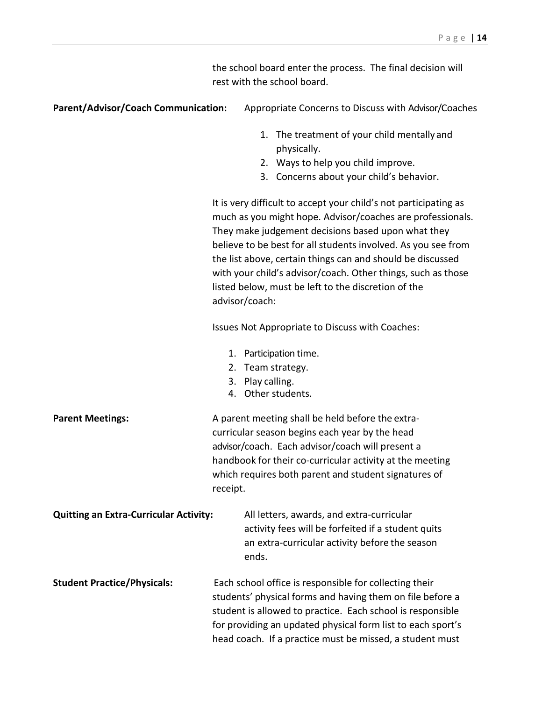the school board enter the process. The final decision will rest with the school board.

| <b>Parent/Advisor/Coach Communication:</b>    | Appropriate Concerns to Discuss with Advisor/Coaches                                                                                                                                                                                                                                                                                                                                                                                                         |
|-----------------------------------------------|--------------------------------------------------------------------------------------------------------------------------------------------------------------------------------------------------------------------------------------------------------------------------------------------------------------------------------------------------------------------------------------------------------------------------------------------------------------|
|                                               | 1. The treatment of your child mentally and<br>physically.                                                                                                                                                                                                                                                                                                                                                                                                   |
|                                               | 2. Ways to help you child improve.                                                                                                                                                                                                                                                                                                                                                                                                                           |
|                                               | 3. Concerns about your child's behavior.                                                                                                                                                                                                                                                                                                                                                                                                                     |
|                                               | It is very difficult to accept your child's not participating as<br>much as you might hope. Advisor/coaches are professionals.<br>They make judgement decisions based upon what they<br>believe to be best for all students involved. As you see from<br>the list above, certain things can and should be discussed<br>with your child's advisor/coach. Other things, such as those<br>listed below, must be left to the discretion of the<br>advisor/coach: |
|                                               | Issues Not Appropriate to Discuss with Coaches:                                                                                                                                                                                                                                                                                                                                                                                                              |
|                                               | 1. Participation time.<br>Team strategy.<br>2.<br>Play calling.<br>3.<br>4. Other students.                                                                                                                                                                                                                                                                                                                                                                  |
| <b>Parent Meetings:</b>                       | A parent meeting shall be held before the extra-<br>curricular season begins each year by the head<br>advisor/coach. Each advisor/coach will present a<br>handbook for their co-curricular activity at the meeting<br>which requires both parent and student signatures of<br>receipt.                                                                                                                                                                       |
| <b>Quitting an Extra-Curricular Activity:</b> | All letters, awards, and extra-curricular<br>activity fees will be forfeited if a student quits<br>an extra-curricular activity before the season<br>ends.                                                                                                                                                                                                                                                                                                   |
| <b>Student Practice/Physicals:</b>            | Each school office is responsible for collecting their<br>students' physical forms and having them on file before a<br>student is allowed to practice. Each school is responsible<br>for providing an updated physical form list to each sport's<br>head coach. If a practice must be missed, a student must                                                                                                                                                 |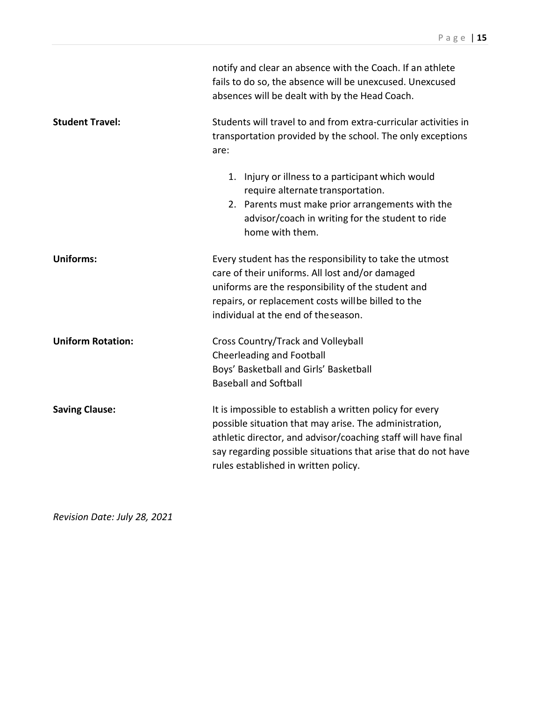|                          | notify and clear an absence with the Coach. If an athlete<br>fails to do so, the absence will be unexcused. Unexcused<br>absences will be dealt with by the Head Coach.                                                                                                                      |
|--------------------------|----------------------------------------------------------------------------------------------------------------------------------------------------------------------------------------------------------------------------------------------------------------------------------------------|
| <b>Student Travel:</b>   | Students will travel to and from extra-curricular activities in<br>transportation provided by the school. The only exceptions<br>are:                                                                                                                                                        |
|                          | 1. Injury or illness to a participant which would<br>require alternate transportation.<br>2. Parents must make prior arrangements with the<br>advisor/coach in writing for the student to ride<br>home with them.                                                                            |
| <b>Uniforms:</b>         | Every student has the responsibility to take the utmost<br>care of their uniforms. All lost and/or damaged<br>uniforms are the responsibility of the student and<br>repairs, or replacement costs willbe billed to the<br>individual at the end of the season.                               |
| <b>Uniform Rotation:</b> | Cross Country/Track and Volleyball<br><b>Cheerleading and Football</b><br>Boys' Basketball and Girls' Basketball<br><b>Baseball and Softball</b>                                                                                                                                             |
| <b>Saving Clause:</b>    | It is impossible to establish a written policy for every<br>possible situation that may arise. The administration,<br>athletic director, and advisor/coaching staff will have final<br>say regarding possible situations that arise that do not have<br>rules established in written policy. |

*Revision Date: July 28, 2021*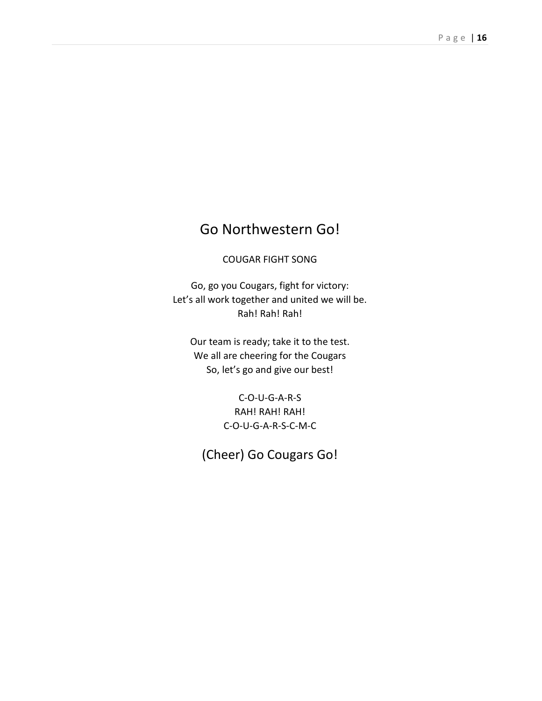### Go Northwestern Go!

#### COUGAR FIGHT SONG

Go, go you Cougars, fight for victory: Let's all work together and united we will be. Rah! Rah! Rah!

Our team is ready; take it to the test. We all are cheering for the Cougars So, let's go and give our best!

> C-O-U-G-A-R-S RAH! RAH! RAH! C-O-U-G-A-R-S-C-M-C

(Cheer) Go Cougars Go!